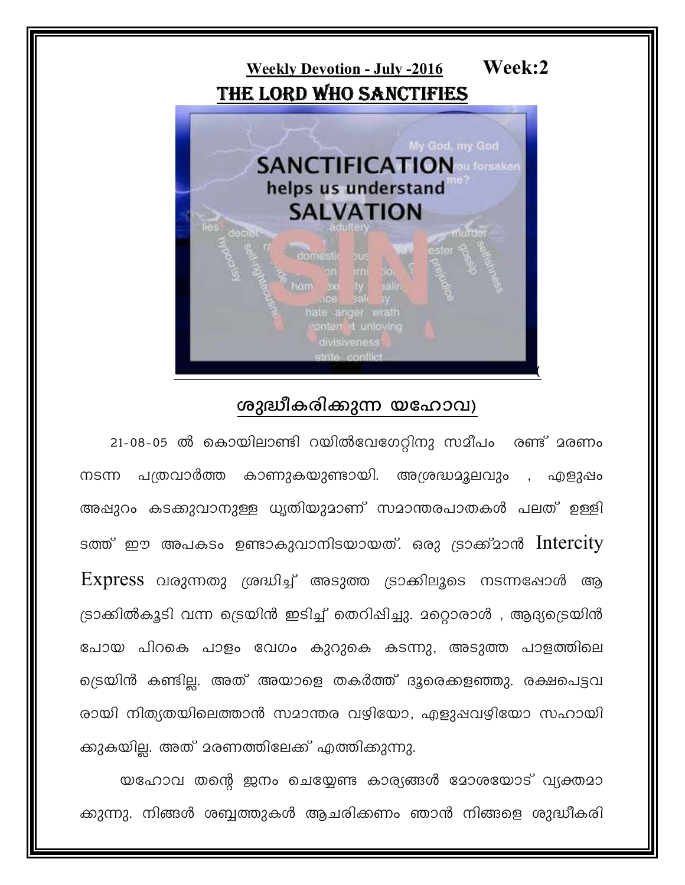

## ശുദ്ധീകരിക്കുന്ന യഹോവ)

21-08-05 ൽ കൊയിലാണ്ടി റയിൽവേഗേറ്റിനു സമീപം രണ്ട് മരണം പത്രവാർത്ത കാണുകയുണ്ടായി. അശ്രദ്ധമൂലവും , എളുഷം നടന്ന അപ്പുറം കടക്കുവാനുള്ള ധൃതിയുമാണ് സമാന്തരപാതകൾ പലത് ഉള്ളി ടത്ത് ഈ അപകടം ഉണ്ടാകുവാനിടയായത്. ഒരു ട്രാക്ക്മാൻ Intercity  $\mathop{\hbox{\rm Express}}$  വരുന്നതു ശ്രദ്ധിച്ച് അടുത്ത ട്രാക്കിലൂടെ നടന്നപ്പോൾ ആ ട്രാക്കിൽകൂടി വന്ന ട്രെയിൻ ഇടിച്ച് തെറിപ്പിച്ചു. മറ്റൊരാൾ , ആദ്യട്രെയിൻ പോയ പിറകെ പാളം വേഗം കുറുകെ കടന്നു, അടുത്ത പാളത്തിലെ ട്രെയിൻ കണ്ടില്ല. അത് അയാളെ തകർത്ത് ദൂരെക്കളഞ്ഞു. രക്ഷപെട്ടവ രായി നിത്യതയിലെത്താൻ സമാന്തര വഴിയോ, എളുപ്പവഴിയോ സഹായി ക്കുകയില്ല. അത് മരണത്തിലേക്ക് എത്തിക്കുന്നു.

യഹോവ തന്റെ ജനം ചെയ്യേണ്ട കാര്യങ്ങൾ മോശയോട് വ്യക്തമാ ക്കുന്നു. നിങ്ങൾ ശബ്ബത്തുകൾ ആചരിക്കണം ഞാൻ നിങ്ങളെ ശുദ്ധീകരി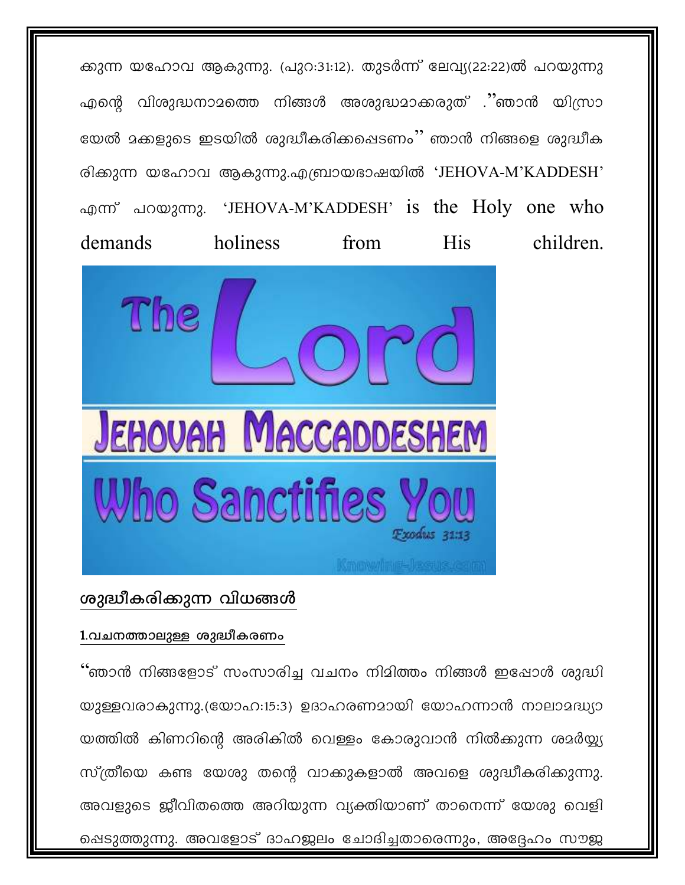ക്കുന്ന യഹോവ ആകുന്നു. (പുറ:31:12). തുടർന്ന് ലേവ്യ(22:22)ൽ പറയുന്നു എന്റെ വിശുദ്ധനാമത്തെ നിങ്ങൾ അശുദ്ധമാക്കരുത് .''ഞാൻ യിസ്രാ യേൽ മക്കളുടെ ഇടയിൽ ശുദ്ധീകരിക്കപ്പെടണം'' ഞാൻ നിങ്ങളെ ശുദ്ധീക രിക്കുന്ന യഹോവ ആകുന്നു.എബ്രായഭാഷയിൽ 'JEHOVA-M'KADDESH' എന്ന് പറയുന്നു. 'JEHOVA-M'KADDESH' is the Holy one who holiness children. demands from **His** 



## ശുദ്ധീകരിക്കുന്ന വിധങ്ങൾ

#### 1.വചനത്താലുള്ള ശുദ്ധീകരണം

്ഞാൻ നിങ്ങളോട് സംസാരിച്ച വചനം നിമിത്തം നിങ്ങൾ ഇഷോൾ ശുദ്ധി യുള്ളവരാകുന്നു.(യോഹ:15:3) ഉദാഹരണമായി യോഹന്നാൻ നാലാമദ്ധ്യാ യത്തിൽ കിണറിന്റെ അരികിൽ വെള്ളം കോരുവാൻ നിൽക്കുന്ന ശമർയ്യ്യ സ്ത്രീയെ കണ്ട യേശു തന്റെ വാക്കുകളാൽ അവളെ ശുദ്ധീകരിക്കുന്നു. അവളുടെ ജീവിതത്തെ അറിയുന്ന വ്യക്തിയാണ് താനെന്ന് യേശു വെളി ഷെടുത്തുന്നു. അവളോട് ദാഹജലം ചോദിച്ചതാരെന്നും, അദ്ദേഹം സൗജ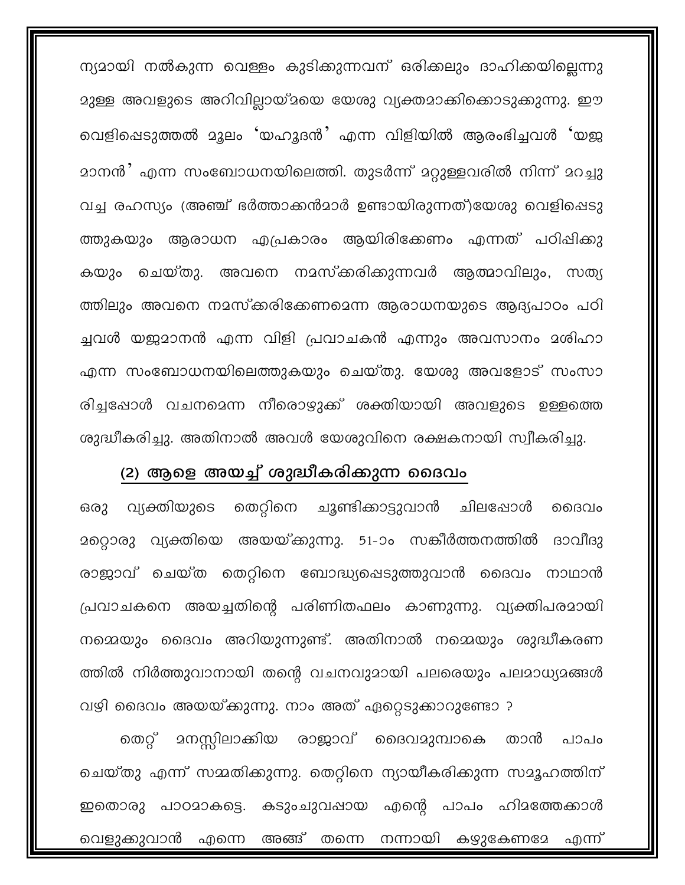ന്യദായി നൽകുന്ന വെള്ളം കുടിക്കുന്നവന് ഒരിക്കലും ദാഹിക്കയില്ലെന്നു മുള്ള അവളുടെ അറിവില്ലായ്മയെ യേശു വ്യക്തമാക്കികൊടുക്കുന്നു. ഈ വെളിഷെടുത്തൽ മൂലം 'യഹൂദൻ' എന്ന വിളിയിൽ ആരംഭിച്ചവൾ 'യജ <u>മാനൻ മുന്ന സംബോധനയിലെത്തി. തുടർന്ന് മറ്റുള്ളവരിൽ നിന്ന് മറച്ചു</u> വച്ച രഹസ്യം (അഞ്ച് ഭർത്താക്കൻമാർ ഉണ്ടായിരുന്നത്)യേശു വെളിപ്പെടു ത്തുകയും ആരാധന എപ്രകാരം ആയിരിക്കേണം എന്നത് പഠിഷിക്കു കയും ചെയ്തു. അവനെ നമസ്കരിക്കുന്നവർ ആത്മാവിലും, സത്യ ത്തിലും അവനെ നമസ്കരിക്കേണമെന്ന ആരാധനയുടെ ആദ്യപാഠം പഠി ച്ചവൾ യജ്ജാനൻ എന്ന വിളി പ്രവാചകൻ എന്നും അവസാനം മശിഹാ എന്ന സംബോധനയിലെത്തുകയും ചെയ്തു. യേശു അവളോട് സംസാ രിച്ചപ്പോൾ വചനമെന്ന നീരൊഴുക്ക് ശക്തിയായി അവളുടെ ഉള്ളത്തെ ശുദ്ധീകരിച്ചു. അതിനാൽ അവൾ യേശുവിനെ രക്ഷകനായി സ്വീകരിച്ചു.

#### (2) ആളെ അയച്ച് ശുദ്ധീകരിക്കുന്ന ദൈവം

തെറ്റിനെ ചൂണ്ടിക്കാട്ടുവാൻ ചിലപ്പോൾ വ്യക്തിയുടെ ഒരു ൈവം മറ്റൊരു വ്യക്തിയെ അയയ്ക്കുന്നു. 51-ാം സങ്കീർത്തനത്തിൽ ദാവീദു രാജാവ് ചെയ്ത തെറ്റിനെ ബോദ്ധ്യപ്പെടുത്തുവാൻ ദൈവം നാഥാൻ പ്രവാചകനെ അയച്ചതിന്റെ പരിണിതഫലം കാണുന്നു. വ്യക്തിപരമായി നമ്മെയും ദൈവം അറിയുന്നുണ്ട്. അതിനാൽ നമ്മെയും ശുദ്ധീകരണ ത്തിൽ നിർത്തുവാനായി തന്റെ വചനവുമായി പലരെയും പലമാധ്യമങ്ങൾ

വഴി ദൈവം അയയ്ക്കുന്നു. നാം അത് ഏറ്റെടുക്കാറുണ്ടോ ? മനസ്സിലാക്കിയ രാജാവ് ദൈവമുമ്പാകെ തെറ്റ് താൻ പാപം ചെയ്തു എന്ന് സമ്മതിക്കുന്നു. തെറ്റിനെ ന്യായീകരിക്കുന്ന സമൂഹത്തിന് ഇതൊരു പാഠമാകട്ടെ. കടുംചുവപ്പായ എന്റെ പാപം ഹിമത്തേക്കാൾ വെളുക്കുവാൻ എന്നെ അങ്ങ് തന്നെ നന്നായി കഴുകേണമേ എന്ന്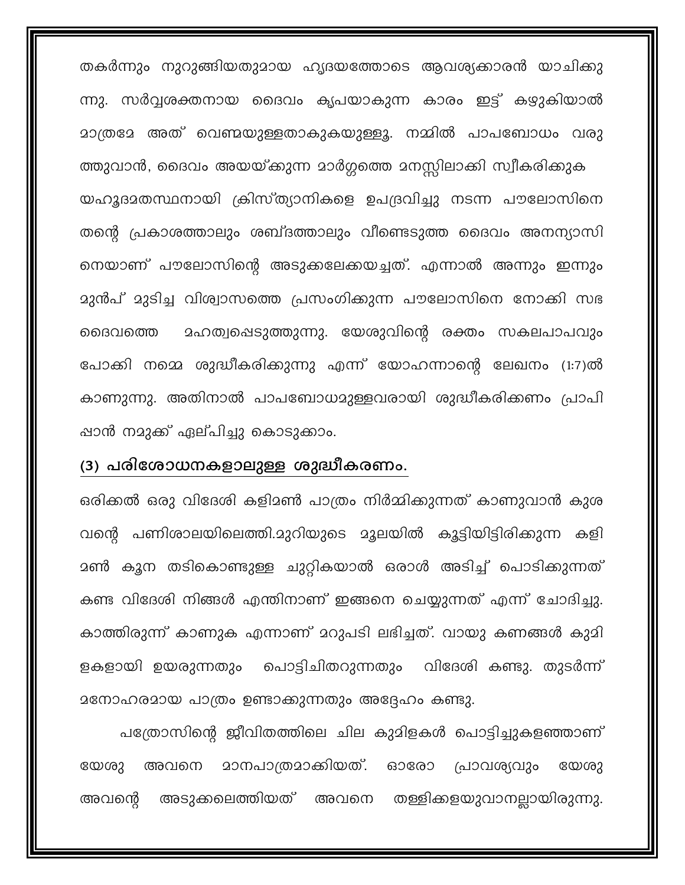തകർന്നും നുറുങ്ങിയതുമായ ഹൃദയത്തോടെ ആവശ്യക്കാരൻ യാചിക്കു ന്നു. സർവ്വശക്തനായ ദൈവം കൃപയാകുന്ന കാരം ഇട്ട് കഴുകിയാൽ മാത്രമേ അത് വെണ്മയുള്ളതാകുകയുള്ളൂ. നമ്മിൽ പാപബോധം വരു

ത്തുവാൻ, ദൈവം അയയ്ക്കുന്ന മാർഗ്ഗത്തെ മനസ്സിലാക്കി സ്വീകരിക്കുക യഹൂദാതസ്ഥനായി ക്രിസ്ത്യാനികളെ ഉപദ്രവിച്ചു നടന്ന പൗലോസിനെ തന്റെ പ്രകാശത്താലും ശബ്ദത്താലും വീണ്ടെടുത്ത ദൈവം അനന്യാസി നെയാണ് പൗലോസിന്റെ അടുക്കലേക്കയച്ചത്. എന്നാൽ അന്നും ഇന്നും മുൻപ് മുടിച്ച വിശ്വാസത്തെ പ്രസംഗിക്കുന്ന പൗലോസിനെ നോക്കി സഭ <u>ാഹത്വ</u>ഷെടുത്തുന്നു. യേശുവിന്റെ രക്തം സകലപാപവും ൈവത്തെ പോക്കി നമ്മെ ശുദ്ധീകരിക്കുന്നു എന്ന് യോഹന്നാന്റെ ലേഖനം (1:7)ൽ കാണുന്നു. അതിനാൽ പാപബോധമുള്ളവരായി ശുദ്ധീകരിക്കണം പ്രാപി ഷാൻ നമുക്ക് ഏല്പിച്ചു കൊടുക്കാം.

#### (3) പരിശോധനകളാലുള്ള ശുദ്ധീകരണം.

ഒരിക്കൽ ഒരു വിദേശി കളിമൺ പാത്രം നിർമ്മിക്കുന്നത് കാണുവാൻ കുശ വന്റെ പണിശാലയിലെത്തി.മുറിയുടെ മൂലയിൽ കൂട്ടിയിട്ടിരിക്കുന്ന കളി ദൺ കൂന തടികൊണ്ടുള്ള ചുറ്റികയാൽ ഒരാൾ അടിച്ച് പൊടിക്കുന്നത് കണ്ട വിദേശി നിങ്ങൾ എന്തിനാണ് ഇങ്ങനെ ചെയ്യുന്നത് എന്ന് ചോദിച്ചു. കാത്തിരുന്ന് കാണുക എന്നാണ് മറുപടി ലഭിച്ചത്. വായു കണങ്ങൾ കുമി പൊട്ടിചിതറുന്നതും വിദേശി കണ്ടു. തുടർന്ന് ളകളായി ഉയരുന്നതും മനോഹരമായ പാത്രം ഉണ്ടാക്കുന്നതും അദ്ദേഹം കണ്ടു.

പത്രോസിന്റെ ജീവിതത്തിലെ ചില കുമിളകൾ പൊട്ടിച്ചുകളഞ്ഞാണ് അവനെ മാനപാത്രമാക്കിയത്. ഓരോ യേശു പ്രാവശ്യവും യേശു അവന്റെ അടുക്കലെത്തിയത് അവനെ തള്ളിക്കളയുവാനല്ലായിരുന്നു.